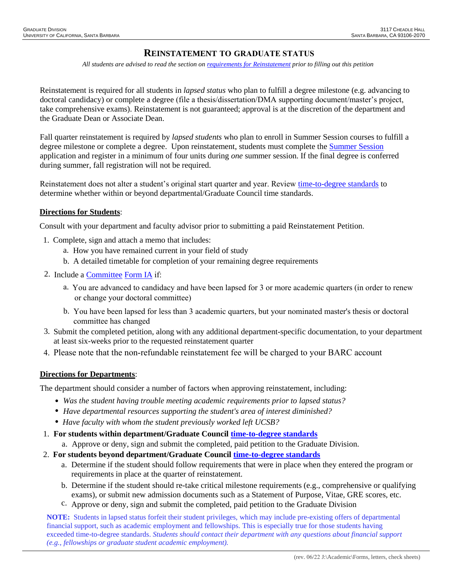## **REINSTATEMENT TO GRADUATE STATUS**

*All students are advised to read the section o[n requirements for Reinstatement](http://www.graddiv.ucsb.edu/academic/forms-petitions/lapsed-status-reinstatement) prior to filling out this petition* 

Reinstatement is required for all students in *lapsed status* who plan to fulfill a degree milestone (e.g. advancing to doctoral candidacy) or complete a degree (file a thesis/dissertation/DMA supporting document/master's project, take comprehensive exams). Reinstatement is not guaranteed; approval is at the discretion of the department and the Graduate Dean or Associate Dean.

Fall quarter reinstatement is required by *lapsed students* who plan to enroll in Summer Session courses to fulfill a degree milestone or complete a degree. Upon reinstatement, students must complete the [Summer Session](http://www.summer.ucsb.edu/) application and register in a minimum of four units during *one* summer session. If the final degree is conferred during summer, fall registration will not be required.

Reinstatement does not alter a student's original start quarter and year. Review [time-to-degree standards](http://www.graddiv.ucsb.edu/academic/time-to-degree) to determine whether within or beyond departmental/Graduate Council time standards.

## **Directions for Students**:

Consult with your department and faculty advisor prior to submitting a paid Reinstatement Petition.

- 1. Complete, sign and attach a memo that includes:
	- a. How you have remained current in your field of study
	- b. A detailed timetable for completion of your remaining degree requirements
- 2. Include a [Committee](http://www.graddiv.ucsb.edu/docs/default-source/academic-services-documents/form-ia-10-17.pdf?sfvrsn=0) Form IA if:
	- a. You are advanced to candidacy and have been lapsed for 3 or more academic quarters (in order to renew or change your doctoral committee)
	- b. You have been lapsed for less than 3 academic quarters, but your nominated master's thesis or doctoral committee has changed
- Submit the completed petition, along with any additional department-specific documentation, to your department 3. at least six-weeks prior to the requested reinstatement quarter
- 4. Please note that the non-refundable reinstatement fee will be charged to your BARC account

## **Directions for Departments**:

The department should consider a number of factors when approving reinstatement, including:

- *Was the student having trouble meeting academic requirements prior to lapsed status?*
- *Have departmental resources supporting the student's area of interest diminished?*
- *Have faculty with whom the student previously worked left UCSB?*
- 1. **For students within department/Graduate Council [time-to-degree standards](http://www.graddiv.ucsb.edu/academic/time-to-degree)**
	- a. Approve or deny, sign and submit the completed, paid petition to the Graduate Division.
- 2. **For students beyond department/Graduate Council [time-to-degree standards](http://www.graddiv.ucsb.edu/academic/time-to-degree)**
	- a. Determine if the student should follow requirements that were in place when they entered the program or requirements in place at the quarter of reinstatement.
	- b. Determine if the student should re-take critical milestone requirements (e.g., comprehensive or qualifying exams), or submit new admission documents such as a Statement of Purpose, Vitae, GRE scores, etc.
	- c. Approve or deny, sign and submit the completed, paid petition to the Graduate Division

**NOTE:** Students in lapsed status forfeit their student privileges, which may include pre-existing offers of departmental financial support, such as academic employment and fellowships. This is especially true for those students having exceeded time-to-degree standards. *Students should contact their department with any questions about financial support (e.g., fellowships or graduate student academic employment).*